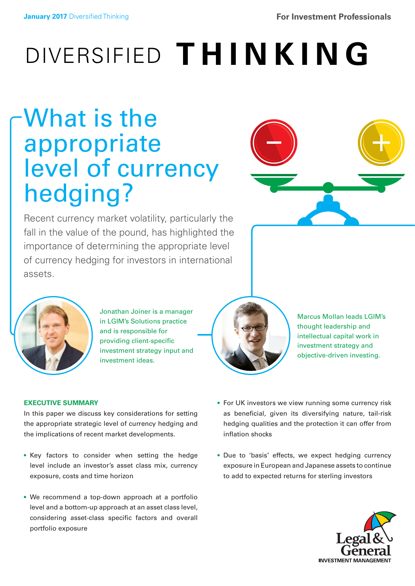# DIVERSIFIED **THINKING**

# What is the appropriate level of currency hedging?



Recent currency market volatility, particularly the fall in the value of the pound, has highlighted the importance of determining the appropriate level of currency hedging for investors in international assets.



Jonathan Joiner is a manager in LGIM's Solutions practice and is responsible for providing client-specific investment strategy input and investment ideas.



Marcus Mollan leads LGIM's thought leadership and intellectual capital work in investment strategy and objective-driven investing.

## **EXECUTIVE SUMMARY**

In this paper we discuss key considerations for setting the appropriate strategic level of currency hedging and the implications of recent market developments.

- Key factors to consider when setting the hedge level include an investor's asset class mix, currency exposure, costs and time horizon
- We recommend a top-down approach at a portfolio level and a bottom-up approach at an asset class level, considering asset-class specific factors and overall portfolio exposure
- For UK investors we view running some currency risk as beneficial, given its diversifying nature, tail-risk hedging qualities and the protection it can offer from inflation shocks
- Due to 'basis' effects, we expect hedging currency exposure in European and Japanese assets to continue to add to expected returns for sterling investors

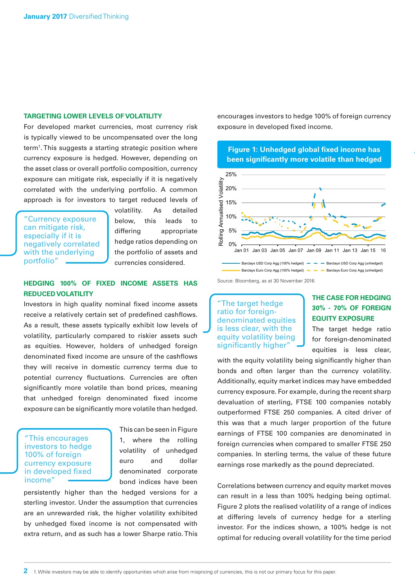#### **TARGETING LOWER LEVELS OF VOLATILITY**

For developed market currencies, most currency risk is typically viewed to be uncompensated over the long term<sup>1</sup>. This suggests a starting strategic position where currency exposure is hedged. However, depending on the asset class or overall portfolio composition, currency exposure can mitigate risk, especially if it is negatively correlated with the underlying portfolio. A common approach is for investors to target reduced levels of

"Currency exposure can mitigate risk, especially if it is negatively correlated with the underlying portfolio"

volatility. As detailed below, this leads to differing appropriate hedge ratios depending on the portfolio of assets and currencies considered.

#### **HEDGING 100% OF FIXED INCOME ASSETS HAS REDUCED VOLATILITY**

Investors in high quality nominal fixed income assets receive a relatively certain set of predefined cashflows. As a result, these assets typically exhibit low levels of volatility, particularly compared to riskier assets such as equities. However, holders of unhedged foreign denominated fixed income are unsure of the cashflows they will receive in domestic currency terms due to potential currency fluctuations. Currencies are often significantly more volatile than bond prices, meaning that unhedged foreign denominated fixed income exposure can be significantly more volatile than hedged.

#### "This encourages investors to hedge 100% of foreign currency exposure in developed fixed income"

This can be seen in Figure 1, where the rolling volatility of unhedged euro and dollar denominated corporate bond indices have been

persistently higher than the hedged versions for a sterling investor. Under the assumption that currencies are an unrewarded risk, the higher volatility exhibited by unhedged fixed income is not compensated with extra return, and as such has a lower Sharpe ratio. This encourages investors to hedge 100% of foreign currency exposure in developed fixed income.





#### "The target hedge ratio for foreigndenominated equities is less clear, with the equity volatility being significantly higher"

# **THE CASE FOR HEDGING 30% - 70% OF FOREIGN EQUITY EXPOSURE**

The target hedge ratio for foreign-denominated equities is less clear,

with the equity volatility being significantly higher than bonds and often larger than the currency volatility. Additionally, equity market indices may have embedded currency exposure. For example, during the recent sharp devaluation of sterling, FTSE 100 companies notably outperformed FTSE 250 companies. A cited driver of this was that a much larger proportion of the future earnings of FTSE 100 companies are denominated in foreign currencies when compared to smaller FTSE 250 companies. In sterling terms, the value of these future earnings rose markedly as the pound depreciated.

Correlations between currency and equity market moves can result in a less than 100% hedging being optimal. Figure 2 plots the realised volatility of a range of indices at differing levels of currency hedge for a sterling investor. For the indices shown, a 100% hedge is not optimal for reducing overall volatility for the time period

Source: Bloomberg, as at 30 November 2016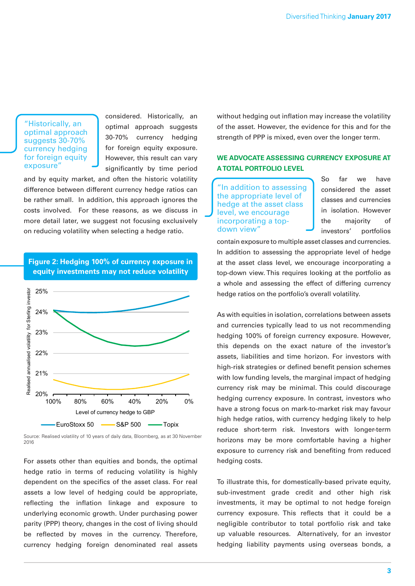"Historically, an optimal approach suggests 30-70% currency hedging for foreign equity exposure"

considered. Historically, an optimal approach suggests 30-70% currency hedging for foreign equity exposure. However, this result can vary significantly by time period

and by equity market, and often the historic volatility difference between different currency hedge ratios can be rather small. In addition, this approach ignores the costs involved. For these reasons, as we discuss in more detail later, we suggest not focusing exclusively on reducing volatility when selecting a hedge ratio.



**Figure 2: Hedging 100% of currency exposure in equity investments may not reduce volatility**

Source: Realised volatility of 10 years of daily data, Bloomberg, as at 30 November 2016

For assets other than equities and bonds, the optimal hedge ratio in terms of reducing volatility is highly dependent on the specifics of the asset class. For real assets a low level of hedging could be appropriate, reflecting the inflation linkage and exposure to underlying economic growth. Under purchasing power parity (PPP) theory, changes in the cost of living should be reflected by moves in the currency. Therefore, currency hedging foreign denominated real assets

without hedging out inflation may increase the volatility of the asset. However, the evidence for this and for the strength of PPP is mixed, even over the longer term.

# **WE ADVOCATE ASSESSING CURRENCY EXPOSURE AT A TOTAL PORTFOLIO LEVEL**

"In addition to assessing the appropriate level of hedge at the asset class level, we encourage incorporating a topdown view"

So far we have considered the asset classes and currencies in isolation. However the majority of investors' portfolios

contain exposure to multiple asset classes and currencies. In addition to assessing the appropriate level of hedge at the asset class level, we encourage incorporating a top-down view. This requires looking at the portfolio as a whole and assessing the effect of differing currency hedge ratios on the portfolio's overall volatility.

As with equities in isolation, correlations between assets and currencies typically lead to us not recommending hedging 100% of foreign currency exposure. However, this depends on the exact nature of the investor's assets, liabilities and time horizon. For investors with high-risk strategies or defined benefit pension schemes with low funding levels, the marginal impact of hedging currency risk may be minimal. This could discourage hedging currency exposure. In contrast, investors who have a strong focus on mark-to-market risk may favour high hedge ratios, with currency hedging likely to help reduce short-term risk. Investors with longer-term horizons may be more comfortable having a higher exposure to currency risk and benefiting from reduced hedging costs.

To illustrate this, for domestically-based private equity, sub-investment grade credit and other high risk investments, it may be optimal to not hedge foreign currency exposure. This reflects that it could be a negligible contributor to total portfolio risk and take up valuable resources. Alternatively, for an investor hedging liability payments using overseas bonds, a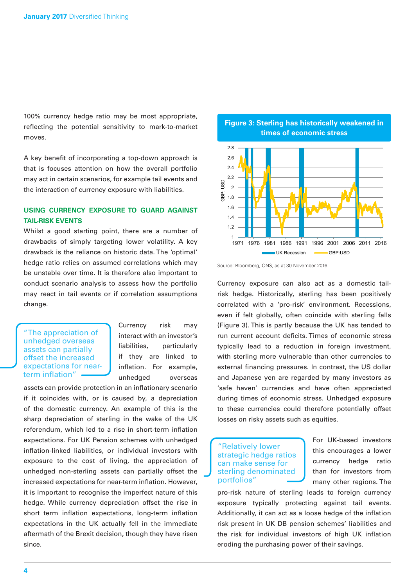100% currency hedge ratio may be most appropriate, reflecting the potential sensitivity to mark-to-market moves.

A key benefit of incorporating a top-down approach is that is focuses attention on how the overall portfolio may act in certain scenarios, for example tail events and the interaction of currency exposure with liabilities.

# **USING CURRENCY EXPOSURE TO GUARD AGAINST TAIL-RISK EVENTS**

Whilst a good starting point, there are a number of drawbacks of simply targeting lower volatility. A key drawback is the reliance on historic data. The 'optimal' hedge ratio relies on assumed correlations which may be unstable over time. It is therefore also important to conduct scenario analysis to assess how the portfolio may react in tail events or if correlation assumptions change.

"The appreciation of unhedged overseas assets can partially offset the increased expectations for nearterm inflation"

Currency risk may interact with an investor's liabilities, particularly if they are linked to inflation. For example, unhedged overseas

assets can provide protection in an inflationary scenario if it coincides with, or is caused by, a depreciation of the domestic currency. An example of this is the sharp depreciation of sterling in the wake of the UK referendum, which led to a rise in short-term inflation expectations. For UK Pension schemes with unhedged inflation-linked liabilities, or individual investors with exposure to the cost of living, the appreciation of unhedged non-sterling assets can partially offset the increased expectations for near-term inflation. However, it is important to recognise the imperfect nature of this hedge. While currency depreciation offset the rise in short term inflation expectations, long-term inflation expectations in the UK actually fell in the immediate aftermath of the Brexit decision, though they have risen since.

**Figure 3: Sterling has historically weakened in times of economic stress**



Source: Bloomberg, ONS, as at 30 November 2016

Currency exposure can also act as a domestic tailrisk hedge. Historically, sterling has been positively correlated with a 'pro-risk' environment. Recessions, even if felt globally, often coincide with sterling falls (Figure 3). This is partly because the UK has tended to run current account deficits. Times of economic stress typically lead to a reduction in foreign investment, with sterling more vulnerable than other currencies to external financing pressures. In contrast, the US dollar and Japanese yen are regarded by many investors as 'safe haven' currencies and have often appreciated during times of economic stress. Unhedged exposure to these currencies could therefore potentially offset losses on risky assets such as equities.

#### "Relatively lower strategic hedge ratios can make sense for sterling denominated portfolios"

For UK-based investors this encourages a lower currency hedge ratio than for investors from many other regions. The

pro-risk nature of sterling leads to foreign currency exposure typically protecting against tail events. Additionally, it can act as a loose hedge of the inflation risk present in UK DB pension schemes' liabilities and the risk for individual investors of high UK inflation eroding the purchasing power of their savings.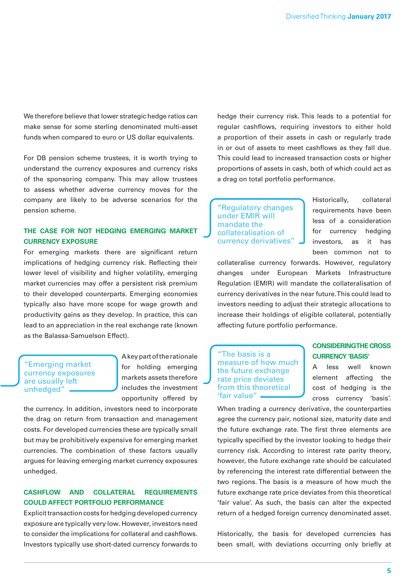We therefore believe that lower strategic hedge ratios can make sense for some sterling denominated multi-asset funds when compared to euro or US dollar equivalents.

For DB pension scheme trustees, it is worth trying to understand the currency exposures and currency risks of the sponsoring company. This may allow trustees to assess whether adverse currency moves for the company are likely to be adverse scenarios for the pension scheme.

#### **THE CASE FOR NOT HEDGING EMERGING MARKET CURRENCY EXPOSURE**

For emerging markets there are significant return implications of hedging currency risk. Reflecting their lower level of visibility and higher volatility, emerging market currencies may offer a persistent risk premium to their developed counterparts. Emerging economies typically also have more scope for wage growth and productivity gains as they develop. In practice, this can lead to an appreciation in the real exchange rate (known as the Balassa-Samuelson Effect).

"Emerging market currency exposures are usually left unhedged"

A key part of the rationale for holding emerging markets assets therefore includes the investment opportunity offered by

the currency. In addition, investors need to incorporate the drag on return from transaction and management costs. For developed currencies these are typically small but may be prohibitively expensive for emerging market currencies. The combination of these factors usually argues for leaving emerging market currency exposures unhedged.

#### **CASHFLOW AND COLLATERAL REQUIREMENTS COULD AFFECT PORTFOLIO PERFORMANCE**

Explicit transaction costs for hedging developed currency exposure are typically very low. However, investors need to consider the implications for collateral and cashflows. Investors typically use short-dated currency forwards to hedge their currency risk. This leads to a potential for regular cashflows, requiring investors to either hold a proportion of their assets in cash or regularly trade in or out of assets to meet cashflows as they fall due. This could lead to increased transaction costs or higher proportions of assets in cash, both of which could act as a drag on total portfolio performance.

"Regulatory changes under EMIR will mandate the collateralisation of currency derivatives" Historically, collateral requirements have been less of a consideration for currency hedging investors, as it has been common not to

collateralise currency forwards. However, regulatory changes under European Markets Infrastructure Regulation (EMIR) will mandate the collateralisation of currency derivatives in the near future. This could lead to investors needing to adjust their strategic allocations to increase their holdings of eligible collateral, potentially affecting future portfolio performance.

"The basis is a measure of how much the future exchange rate price deviates from this theoretical 'fair value"

### **CONSIDERING THE CROSS CURRENCY 'BASIS'**

A less well known element affecting the cost of hedging is the cross currency 'basis'.

When trading a currency derivative, the counterparties agree the currency pair, notional size, maturity date and the future exchange rate. The first three elements are typically specified by the investor looking to hedge their currency risk. According to interest rate parity theory, however, the future exchange rate should be calculated by referencing the interest rate differential between the two regions. The basis is a measure of how much the future exchange rate price deviates from this theoretical 'fair value'. As such, the basis can alter the expected return of a hedged foreign currency denominated asset.

Historically, the basis for developed currencies has been small, with deviations occurring only briefly at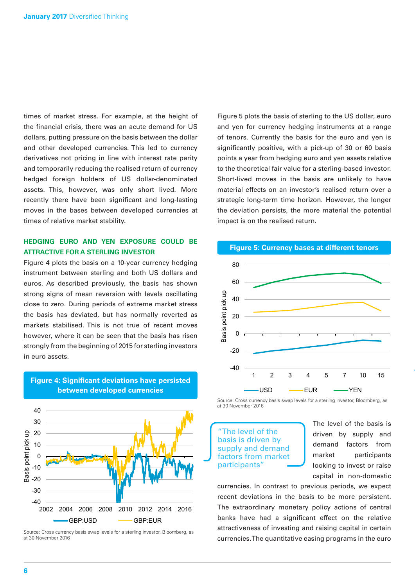times of market stress. For example, at the height of the financial crisis, there was an acute demand for US dollars, putting pressure on the basis between the dollar and other developed currencies. This led to currency derivatives not pricing in line with interest rate parity and temporarily reducing the realised return of currency hedged foreign holders of US dollar-denominated assets. This, however, was only short lived. More recently there have been significant and long-lasting moves in the bases between developed currencies at times of relative market stability.

# **HEDGING EURO AND YEN EXPOSURE COULD BE ATTRACTIVE FOR A STERLING INVESTOR**

Figure 4 plots the basis on a 10-year currency hedging instrument between sterling and both US dollars and euros. As described previously, the basis has shown strong signs of mean reversion with levels oscillating close to zero. During periods of extreme market stress the basis has deviated, but has normally reverted as markets stabilised. This is not true of recent moves however, where it can be seen that the basis has risen strongly from the beginning of 2015 for sterling investors in euro assets.



**Figure 4: Significant deviations have persisted between developed currencies**

Figure 5 plots the basis of sterling to the US dollar, euro and yen for currency hedging instruments at a range of tenors. Currently the basis for the euro and yen is significantly positive, with a pick-up of 30 or 60 basis points a year from hedging euro and yen assets relative to the theoretical fair value for a sterling-based investor. Short-lived moves in the basis are unlikely to have material effects on an investor's realised return over a strategic long-term time horizon. However, the longer the deviation persists, the more material the potential impact is on the realised return.



**Figure 5: Currency bases at different tenors**

Source: Cross currency basis swap levels for a sterling investor, Bloomberg, as at 30 November 2016

The level of the basis is driven by supply and demand factors from market participants"

The level of the basis is driven by supply and demand factors from market participants looking to invest or raise capital in non-domestic

currencies. In contrast to previous periods, we expect recent deviations in the basis to be more persistent. The extraordinary monetary policy actions of central banks have had a significant effect on the relative attractiveness of investing and raising capital in certain currencies. The quantitative easing programs in the euro

Source: Cross currency basis swap levels for a sterling investor, Bloomberg, as at 30 November 2016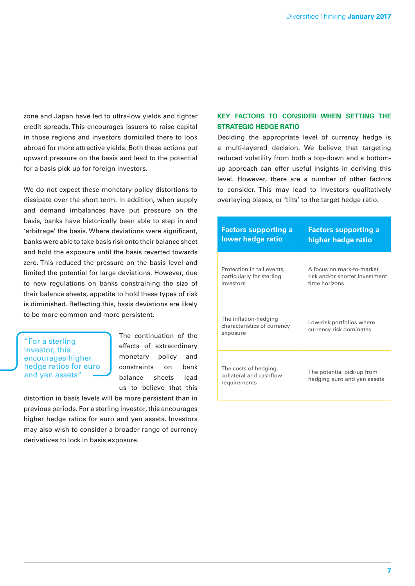zone and Japan have led to ultra-low yields and tighter credit spreads. This encourages issuers to raise capital in those regions and investors domiciled there to look abroad for more attractive yields. Both these actions put upward pressure on the basis and lead to the potential for a basis pick-up for foreign investors.

We do not expect these monetary policy distortions to dissipate over the short term. In addition, when supply and demand imbalances have put pressure on the basis, banks have historically been able to step in and 'arbitrage' the basis. Where deviations were significant, banks were able to take basis risk onto their balance sheet and hold the exposure until the basis reverted towards zero. This reduced the pressure on the basis level and limited the potential for large deviations. However, due to new regulations on banks constraining the size of their balance sheets, appetite to hold these types of risk is diminished. Reflecting this, basis deviations are likely to be more common and more persistent.

#### "For a sterling investor, this encourages higher hedge ratios for euro and yen assets"

The continuation of the effects of extraordinary monetary policy and constraints on bank balance sheets lead us to believe that this

distortion in basis levels will be more persistent than in previous periods. For a sterling investor, this encourages higher hedge ratios for euro and yen assets. Investors may also wish to consider a broader range of currency derivatives to lock in basis exposure.

# **KEY FACTORS TO CONSIDER WHEN SETTING THE STRATEGIC HEDGE RATIO**

Deciding the appropriate level of currency hedge is a multi-layered decision. We believe that targeting reduced volatility from both a top-down and a bottomup approach can offer useful insights in deriving this level. However, there are a number of other factors to consider. This may lead to investors qualitatively overlaying biases, or 'tilts' to the target hedge ratio.

| <b>Factors supporting a</b>                                      | <b>Factors supporting a</b>                               |
|------------------------------------------------------------------|-----------------------------------------------------------|
| lower hedge ratio                                                | higher hedge ratio                                        |
| Protection in tail events,                                       | A focus on mark-to-market                                 |
| particularly for sterling                                        | risk and/or shorter investment                            |
| investors                                                        | time horizons                                             |
| The inflation-hedging<br>characteristics of currency<br>exposure | Low-risk portfolios where<br>currency risk dominates      |
| The costs of hedging,<br>collateral and cashflow<br>requirements | The potential pick-up from<br>hedging euro and yen assets |